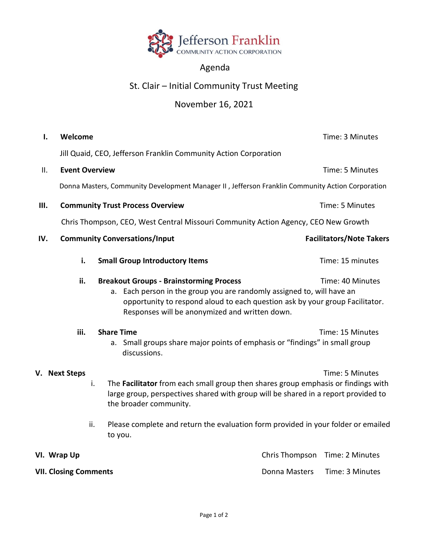

## Agenda

## St. Clair – Initial Community Trust Meeting

## November 16, 2021

| I.                                                    | Welcome                                                          |                                                                                                                                                                                                          | Time: 3 Minutes                 |  |
|-------------------------------------------------------|------------------------------------------------------------------|----------------------------------------------------------------------------------------------------------------------------------------------------------------------------------------------------------|---------------------------------|--|
|                                                       | Jill Quaid, CEO, Jefferson Franklin Community Action Corporation |                                                                                                                                                                                                          |                                 |  |
| ΙΙ.                                                   |                                                                  | <b>Event Overview</b>                                                                                                                                                                                    | Time: 5 Minutes                 |  |
|                                                       |                                                                  | Donna Masters, Community Development Manager II, Jefferson Franklin Community Action Corporation                                                                                                         |                                 |  |
| Ш.                                                    |                                                                  | <b>Community Trust Process Overview</b>                                                                                                                                                                  | Time: 5 Minutes                 |  |
|                                                       |                                                                  | Chris Thompson, CEO, West Central Missouri Community Action Agency, CEO New Growth                                                                                                                       |                                 |  |
| IV.                                                   |                                                                  | <b>Community Conversations/Input</b>                                                                                                                                                                     | <b>Facilitators/Note Takers</b> |  |
|                                                       | i.                                                               | <b>Small Group Introductory Items</b>                                                                                                                                                                    | Time: 15 minutes                |  |
| ii.<br><b>Breakout Groups - Brainstorming Process</b> |                                                                  | a. Each person in the group you are randomly assigned to, will have an<br>opportunity to respond aloud to each question ask by your group Facilitator.<br>Responses will be anonymized and written down. | Time: 40 Minutes                |  |
|                                                       | iii.                                                             | <b>Share Time</b><br>a. Small groups share major points of emphasis or "findings" in small group<br>discussions.                                                                                         | Time: 15 Minutes                |  |
|                                                       | V. Next Steps                                                    | i.<br>The Facilitator from each small group then shares group emphasis or findings with<br>large group, perspectives shared with group will be shared in a report provided to<br>the broader community.  | Time: 5 Minutes                 |  |
|                                                       |                                                                  | Please complete and return the evaluation form provided in your folder or emailed<br>ii.<br>to you.                                                                                                      |                                 |  |
|                                                       | VI. Wrap Up                                                      |                                                                                                                                                                                                          | Chris Thompson Time: 2 Minutes  |  |

**VII. Closing Comments VII. Closing Comments Donna Masters Time: 3 Minutes**